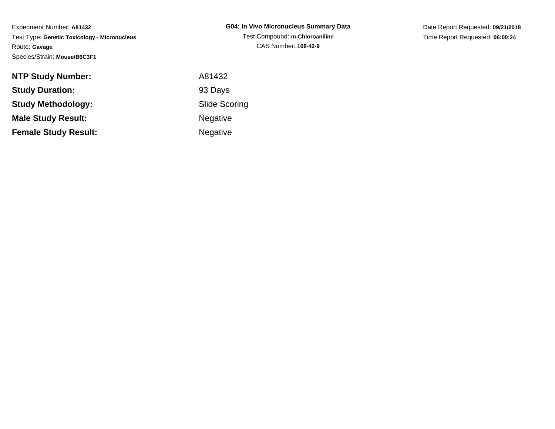| G04: In Vivo Micronucleus Summary Data |
|----------------------------------------|
| Test Compound: m-Chloroaniline         |
| CAS Number: 108-42-9                   |

Date Report Requested: **09/21/2018**Time Report Requested: **06:00:24**

| <b>NTP Study Number:</b>    | A81432               |
|-----------------------------|----------------------|
| <b>Study Duration:</b>      | 93 Days              |
| <b>Study Methodology:</b>   | <b>Slide Scoring</b> |
| <b>Male Study Result:</b>   | <b>Negative</b>      |
| <b>Female Study Result:</b> | <b>Negative</b>      |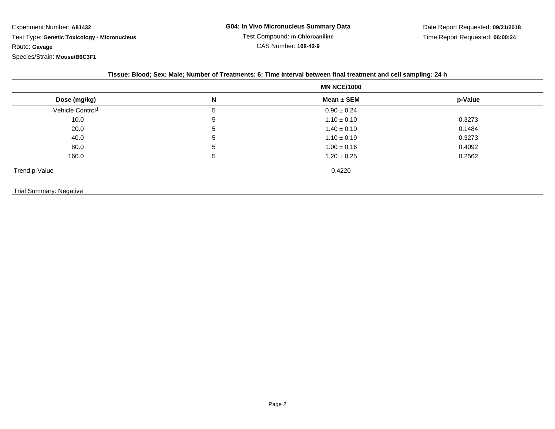|                              | Tissue: Blood; Sex: Male; Number of Treatments: 6; Time interval between final treatment and cell sampling: 24 h |                    |         |  |
|------------------------------|------------------------------------------------------------------------------------------------------------------|--------------------|---------|--|
|                              |                                                                                                                  | <b>MN NCE/1000</b> |         |  |
| Dose (mg/kg)                 | N                                                                                                                | Mean $\pm$ SEM     | p-Value |  |
| Vehicle Control <sup>1</sup> | 5                                                                                                                | $0.90 \pm 0.24$    |         |  |
| 10.0                         | 5                                                                                                                | $1.10 \pm 0.10$    | 0.3273  |  |
| 20.0                         | 5                                                                                                                | $1.40 \pm 0.10$    | 0.1484  |  |
| 40.0                         | 5                                                                                                                | $1.10 \pm 0.19$    | 0.3273  |  |
| 80.0                         | 5                                                                                                                | $1.00 \pm 0.16$    | 0.4092  |  |
| 160.0                        | 5                                                                                                                | $1.20 \pm 0.25$    | 0.2562  |  |
| Trend p-Value                |                                                                                                                  | 0.4220             |         |  |

 $e$  0.4220

Trial Summary: Negative

Page 2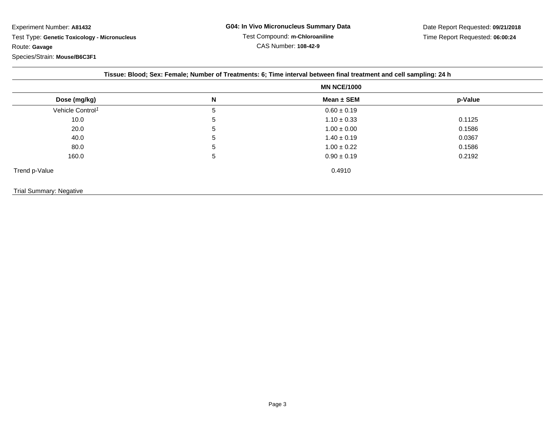|                              | <b>MN NCE/1000</b> |                 |         |
|------------------------------|--------------------|-----------------|---------|
| Dose (mg/kg)                 | N                  | Mean ± SEM      | p-Value |
| Vehicle Control <sup>1</sup> | 5                  | $0.60 \pm 0.19$ |         |
| 10.0                         | 5                  | $1.10 \pm 0.33$ | 0.1125  |
| 20.0                         | 5                  | $1.00 \pm 0.00$ | 0.1586  |
| 40.0                         | 5                  | $1.40 \pm 0.19$ | 0.0367  |
| 80.0                         | 5                  | $1.00 \pm 0.22$ | 0.1586  |
| 160.0                        | 5                  | $0.90 \pm 0.19$ | 0.2192  |
| Trend p-Value                |                    | 0.4910          |         |